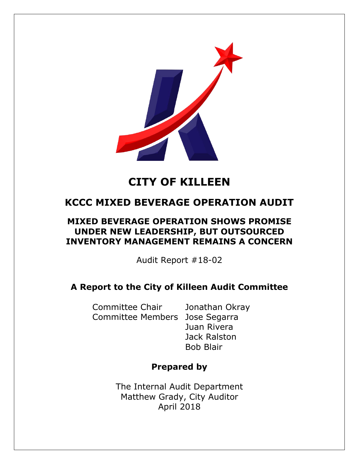

# **CITY OF KILLEEN**

# **KCCC MIXED BEVERAGE OPERATION AUDIT**

# **MIXED BEVERAGE OPERATION SHOWS PROMISE UNDER NEW LEADERSHIP, BUT OUTSOURCED INVENTORY MANAGEMENT REMAINS A CONCERN**

Audit Report #18-02

# **A Report to the City of Killeen Audit Committee**

Committee Chair Jonathan Okray Committee Members Jose Segarra

Juan Rivera Jack Ralston Bob Blair

# **Prepared by**

The Internal Audit Department Matthew Grady, City Auditor April 2018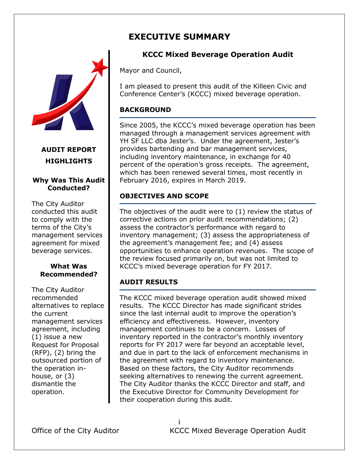# **EXECUTIVE SUMMARY**



**AUDIT REPORT HIGHLIGHTS**

#### **Why Was This Audit Conducted?**

The City Auditor conducted this audit to comply with the terms of the City's management services agreement for mixed beverage services.

#### **What Was Recommended?**

The City Auditor recommended alternatives to replace the current management services agreement, including (1) issue a new Request for Proposal (RFP), (2) bring the outsourced portion of the operation inhouse, or (3) dismantle the operation.

# **KCCC Mixed Beverage Operation Audit**

Mayor and Council,

I am pleased to present this audit of the Killeen Civic and Conference Center's (KCCC) mixed beverage operation.

## **BACKGROUND**

Since 2005, the KCCC's mixed beverage operation has been managed through a management services agreement with YH SF LLC dba Jester's. Under the agreement, Jester's provides bartending and bar management services, including inventory maintenance, in exchange for 40 percent of the operation's gross receipts. The agreement, which has been renewed several times, most recently in February 2016, expires in March 2019.

# **OBJECTIVES AND SCOPE**

The objectives of the audit were to (1) review the status of corrective actions on prior audit recommendations; (2) assess the contractor's performance with regard to inventory management; (3) assess the appropriateness of the agreement's management fee; and (4) assess opportunities to enhance operation revenues. The scope of the review focused primarily on, but was not limited to KCCC's mixed beverage operation for FY 2017.

# **AUDIT RESULTS**

The KCCC mixed beverage operation audit showed mixed results. The KCCC Director has made significant strides since the last internal audit to improve the operation's efficiency and effectiveness. However, inventory management continues to be a concern. Losses of inventory reported in the contractor's monthly inventory reports for FY 2017 were far beyond an acceptable level, and due in part to the lack of enforcement mechanisms in the agreement with regard to inventory maintenance. Based on these factors, the City Auditor recommends seeking alternatives to renewing the current agreement. The City Auditor thanks the KCCC Director and staff, and the Executive Director for Community Development for their cooperation during this audit.

i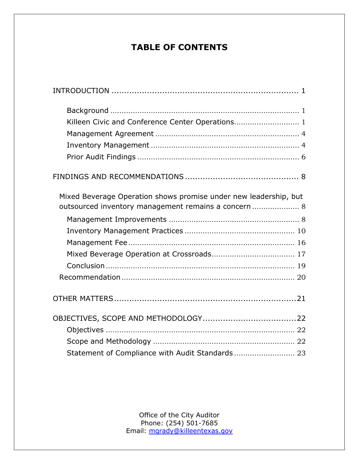# **TABLE OF CONTENTS**

| Killeen Civic and Conference Center Operations 1                                                                         |  |
|--------------------------------------------------------------------------------------------------------------------------|--|
|                                                                                                                          |  |
|                                                                                                                          |  |
|                                                                                                                          |  |
|                                                                                                                          |  |
| Mixed Beverage Operation shows promise under new leadership, but<br>outsourced inventory management remains a concern  8 |  |
|                                                                                                                          |  |
|                                                                                                                          |  |
|                                                                                                                          |  |
|                                                                                                                          |  |
|                                                                                                                          |  |
|                                                                                                                          |  |
|                                                                                                                          |  |
|                                                                                                                          |  |
|                                                                                                                          |  |
|                                                                                                                          |  |
| Statement of Compliance with Audit Standards 23                                                                          |  |

Office of the City Auditor Phone: (254) 501-7685 Email: [mgrady@killeentexas.gov](mailto:mgrady@killeentexas.gov)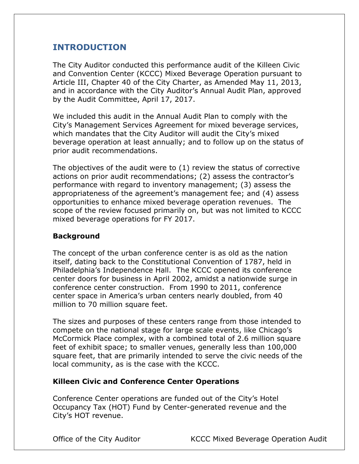# <span id="page-3-0"></span>**INTRODUCTION**

The City Auditor conducted this performance audit of the Killeen Civic and Convention Center (KCCC) Mixed Beverage Operation pursuant to Article III, Chapter 40 of the City Charter, as Amended May 11, 2013, and in accordance with the City Auditor's Annual Audit Plan, approved by the Audit Committee, April 17, 2017.

We included this audit in the Annual Audit Plan to comply with the City's Management Services Agreement for mixed beverage services, which mandates that the City Auditor will audit the City's mixed beverage operation at least annually; and to follow up on the status of prior audit recommendations.

The objectives of the audit were to (1) review the status of corrective actions on prior audit recommendations; (2) assess the contractor's performance with regard to inventory management; (3) assess the appropriateness of the agreement's management fee; and (4) assess opportunities to enhance mixed beverage operation revenues. The scope of the review focused primarily on, but was not limited to KCCC mixed beverage operations for FY 2017.

# <span id="page-3-1"></span>**Background**

The concept of the urban conference center is as old as the nation itself, dating back to the Constitutional Convention of 1787, held in Philadelphia's Independence Hall. The KCCC opened its conference center doors for business in April 2002, amidst a nationwide surge in conference center construction. From 1990 to 2011, conference center space in America's urban centers nearly doubled, from 40 million to 70 million square feet.

The sizes and purposes of these centers range from those intended to compete on the national stage for large scale events, like Chicago's McCormick Place complex, with a combined total of 2.6 million square feet of exhibit space; to smaller venues, generally less than 100,000 square feet, that are primarily intended to serve the civic needs of the local community, as is the case with the KCCC.

# <span id="page-3-2"></span>**Killeen Civic and Conference Center Operations**

Conference Center operations are funded out of the City's Hotel Occupancy Tax (HOT) Fund by Center-generated revenue and the City's HOT revenue.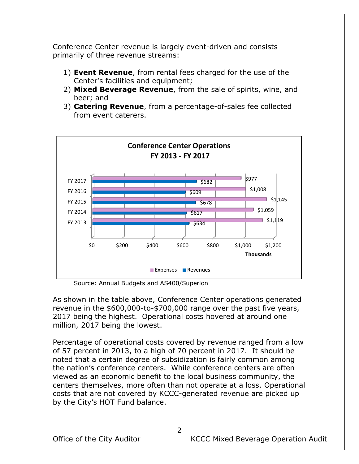Conference Center revenue is largely event-driven and consists primarily of three revenue streams:

- 1) **Event Revenue**, from rental fees charged for the use of the Center's facilities and equipment;
- 2) **Mixed Beverage Revenue**, from the sale of spirits, wine, and beer; and
- 3) **Catering Revenue**, from a percentage-of-sales fee collected from event caterers.



Source: Annual Budgets and AS400/Superion

As shown in the table above, Conference Center operations generated revenue in the \$600,000-to-\$700,000 range over the past five years, 2017 being the highest. Operational costs hovered at around one million, 2017 being the lowest.

Percentage of operational costs covered by revenue ranged from a low of 57 percent in 2013, to a high of 70 percent in 2017. It should be noted that a certain degree of subsidization is fairly common among the nation's conference centers. While conference centers are often viewed as an economic benefit to the local business community, the centers themselves, more often than not operate at a loss. Operational costs that are not covered by KCCC-generated revenue are picked up by the City's HOT Fund balance.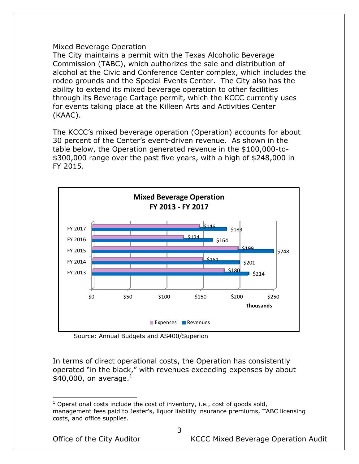#### Mixed Beverage Operation

The City maintains a permit with the Texas Alcoholic Beverage Commission (TABC), which authorizes the sale and distribution of alcohol at the Civic and Conference Center complex, which includes the rodeo grounds and the Special Events Center. The City also has the ability to extend its mixed beverage operation to other facilities through its Beverage Cartage permit, which the KCCC currently uses for events taking place at the Killeen Arts and Activities Center (KAAC).

The KCCC's mixed beverage operation (Operation) accounts for about 30 percent of the Center's event-driven revenue. As shown in the table below, the Operation generated revenue in the \$100,000-to- \$300,000 range over the past five years, with a high of \$248,000 in FY 2015.



Source: Annual Budgets and AS400/Superion

In terms of direct operational costs, the Operation has consistently operated "in the black," with revenues exceeding expenses by about  $$40,000$ , on average.<sup>1</sup>

 $\overline{a}$  $1$  Operational costs include the cost of inventory, i.e., cost of goods sold, management fees paid to Jester's, liquor liability insurance premiums, TABC licensing costs, and office supplies.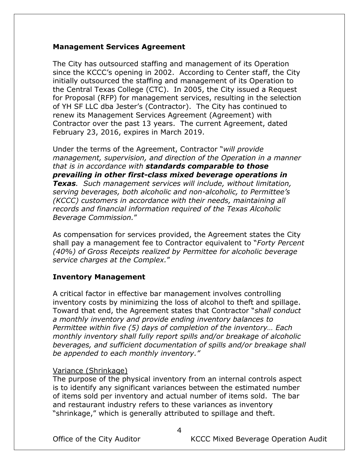#### <span id="page-6-0"></span>**Management Services Agreement**

The City has outsourced staffing and management of its Operation since the KCCC's opening in 2002. According to Center staff, the City initially outsourced the staffing and management of its Operation to the Central Texas College (CTC). In 2005, the City issued a Request for Proposal (RFP) for management services, resulting in the selection of YH SF LLC dba Jester's (Contractor). The City has continued to renew its Management Services Agreement (Agreement) with Contractor over the past 13 years. The current Agreement, dated February 23, 2016, expires in March 2019.

Under the terms of the Agreement, Contractor "*will provide management, supervision, and direction of the Operation in a manner that is in accordance with standards comparable to those prevailing in other first-class mixed beverage operations in Texas. Such management services will include, without limitation, serving beverages, both alcoholic and non-alcoholic, to Permittee's (KCCC) customers in accordance with their needs, maintaining all records and financial information required of the Texas Alcoholic Beverage Commission.*"

As compensation for services provided, the Agreement states the City shall pay a management fee to Contractor equivalent to "*Forty Percent (40%) of Gross Receipts realized by Permittee for alcoholic beverage service charges at the Complex.*"

#### <span id="page-6-1"></span>**Inventory Management**

A critical factor in effective bar management involves controlling inventory costs by minimizing the loss of alcohol to theft and spillage. Toward that end, the Agreement states that Contractor "*shall conduct a monthly inventory and provide ending inventory balances to Permittee within five (5) days of completion of the inventory… Each monthly inventory shall fully report spills and/or breakage of alcoholic beverages, and sufficient documentation of spills and/or breakage shall be appended to each monthly inventory."*

#### Variance (Shrinkage)

The purpose of the physical inventory from an internal controls aspect is to identify any significant variances between the estimated number of items sold per inventory and actual number of items sold. The bar and restaurant industry refers to these variances as inventory "shrinkage," which is generally attributed to spillage and theft.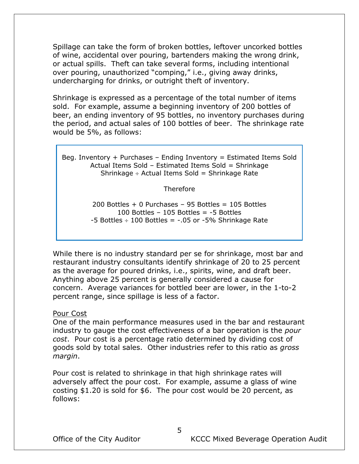Spillage can take the form of broken bottles, leftover uncorked bottles of wine, accidental over pouring, bartenders making the wrong drink, or actual spills. Theft can take several forms, including intentional over pouring, unauthorized "comping," i.e., giving away drinks, undercharging for drinks, or outright theft of inventory.

Shrinkage is expressed as a percentage of the total number of items sold. For example, assume a beginning inventory of 200 bottles of beer, an ending inventory of 95 bottles, no inventory purchases during the period, and actual sales of 100 bottles of beer. The shrinkage rate would be 5%, as follows:

Beg. Inventory + Purchases – Ending Inventory = Estimated Items Sold Actual Items Sold – Estimated Items Sold = Shrinkage Shrinkage  $\div$  Actual Items Sold = Shrinkage Rate

**Therefore** 

200 Bottles  $+$  0 Purchases – 95 Bottles = 105 Bottles 100 Bottles – 105 Bottles = -5 Bottles  $-5$  Bottles  $\div$  100 Bottles =  $-0.05$  or  $-5\%$  Shrinkage Rate

While there is no industry standard per se for shrinkage, most bar and restaurant industry consultants identify shrinkage of 20 to 25 percent as the average for poured drinks, i.e., spirits, wine, and draft beer. Anything above 25 percent is generally considered a cause for concern. Average variances for bottled beer are lower, in the 1-to-2 percent range, since spillage is less of a factor.

#### Pour Cost

One of the main performance measures used in the bar and restaurant industry to gauge the cost effectiveness of a bar operation is the *pour cost*. Pour cost is a percentage ratio determined by dividing cost of goods sold by total sales. Other industries refer to this ratio as *gross margin*.

Pour cost is related to shrinkage in that high shrinkage rates will adversely affect the pour cost. For example, assume a glass of wine costing \$1.20 is sold for \$6. The pour cost would be 20 percent, as follows: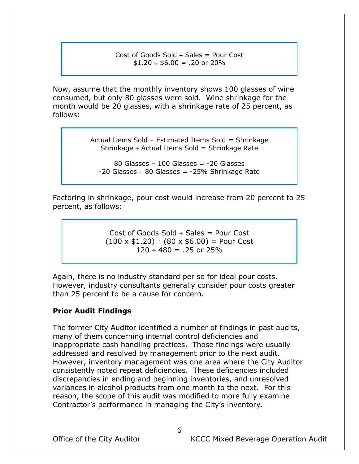#### Cost of Goods Sold  $\div$  Sales = Pour Cost  $$1.20 \div $6.00 = .20$  or 20%

Now, assume that the monthly inventory shows 100 glasses of wine consumed, but only 80 glasses were sold. Wine shrinkage for the month would be 20 glasses, with a shrinkage rate of 25 percent, as follows:

> Actual Items Sold – Estimated Items Sold = Shrinkage Shrinkage  $\div$  Actual Items Sold = Shrinkage Rate

80 Glasses – 100 Glasses = -20 Glasses  $-20$  Glasses  $\div$  80 Glasses =  $-25\%$  Shrinkage Rate

Factoring in shrinkage, pour cost would increase from 20 percent to 25 percent, as follows:

> Cost of Goods Sold  $\div$  Sales = Pour Cost  $(100 \times $1.20) \div (80 \times $6.00) =$  Pour Cost  $120 \div 480 = .25$  or 25%

Again, there is no industry standard per se for ideal pour costs. However, industry consultants generally consider pour costs greater than 25 percent to be a cause for concern.

#### <span id="page-8-0"></span>**Prior Audit Findings**

The former City Auditor identified a number of findings in past audits, many of them concerning internal control deficiencies and inappropriate cash handling practices. Those findings were usually addressed and resolved by management prior to the next audit. However, inventory management was one area where the City Auditor consistently noted repeat deficiencies. These deficiencies included discrepancies in ending and beginning inventories, and unresolved variances in alcohol products from one month to the next. For this reason, the scope of this audit was modified to more fully examine Contractor's performance in managing the City's inventory.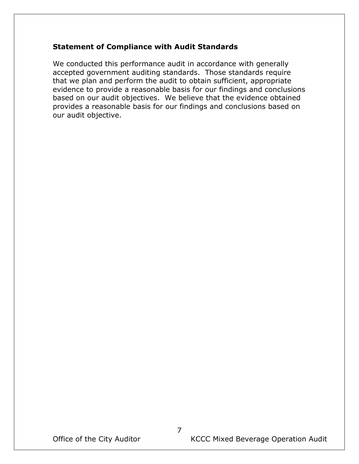# **Statement of Compliance with Audit Standards**

We conducted this performance audit in accordance with generally accepted government auditing standards. Those standards require that we plan and perform the audit to obtain sufficient, appropriate evidence to provide a reasonable basis for our findings and conclusions based on our audit objectives. We believe that the evidence obtained provides a reasonable basis for our findings and conclusions based on our audit objective.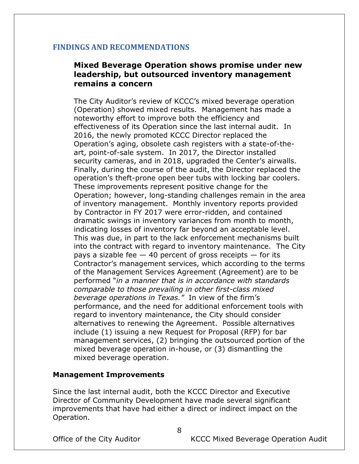# <span id="page-10-0"></span>**FINDINGS AND RECOMMENDATIONS**

# <span id="page-10-1"></span>**Mixed Beverage Operation shows promise under new leadership, but outsourced inventory management remains a concern**

The City Auditor's review of KCCC's mixed beverage operation (Operation) showed mixed results. Management has made a noteworthy effort to improve both the efficiency and effectiveness of its Operation since the last internal audit. In 2016, the newly promoted KCCC Director replaced the Operation's aging, obsolete cash registers with a state-of-theart, point-of-sale system. In 2017, the Director installed security cameras, and in 2018, upgraded the Center's airwalls. Finally, during the course of the audit, the Director replaced the operation's theft-prone open beer tubs with locking bar coolers. These improvements represent positive change for the Operation; however, long-standing challenges remain in the area of inventory management. Monthly inventory reports provided by Contractor in FY 2017 were error-ridden, and contained dramatic swings in inventory variances from month to month, indicating losses of inventory far beyond an acceptable level. This was due, in part to the lack enforcement mechanisms built into the contract with regard to inventory maintenance. The City pays a sizable fee  $-$  40 percent of gross receipts  $-$  for its Contractor's management services, which according to the terms of the Management Services Agreement (Agreement) are to be performed "*in a manner that is in accordance with standards comparable to those prevailing in other first-class mixed beverage operations in Texas."* In view of the firm's performance, and the need for additional enforcement tools with regard to inventory maintenance, the City should consider alternatives to renewing the Agreement. Possible alternatives include (1) issuing a new Request for Proposal (RFP) for bar management services, (2) bringing the outsourced portion of the mixed beverage operation in-house, or (3) dismantling the mixed beverage operation.

#### <span id="page-10-2"></span>**Management Improvements**

Since the last internal audit, both the KCCC Director and Executive Director of Community Development have made several significant improvements that have had either a direct or indirect impact on the Operation.

8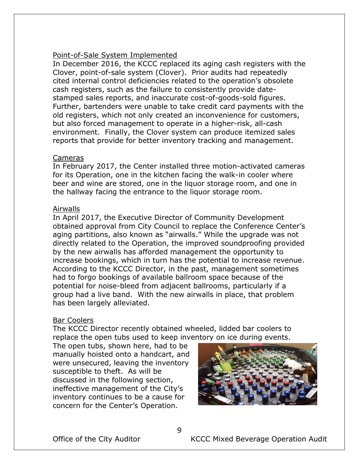### Point-of-Sale System Implemented

In December 2016, the KCCC replaced its aging cash registers with the Clover, point-of-sale system (Clover). Prior audits had repeatedly cited internal control deficiencies related to the operation's obsolete cash registers, such as the failure to consistently provide datestamped sales reports, and inaccurate cost-of-goods-sold figures. Further, bartenders were unable to take credit card payments with the old registers, which not only created an inconvenience for customers, but also forced management to operate in a higher-risk, all-cash environment. Finally, the Clover system can produce itemized sales reports that provide for better inventory tracking and management.

#### Cameras

In February 2017, the Center installed three motion-activated cameras for its Operation, one in the kitchen facing the walk-in cooler where beer and wine are stored, one in the liquor storage room, and one in the hallway facing the entrance to the liquor storage room.

#### Airwalls

In April 2017, the Executive Director of Community Development obtained approval from City Council to replace the Conference Center's aging partitions, also known as "airwalls." While the upgrade was not directly related to the Operation, the improved soundproofing provided by the new airwalls has afforded management the opportunity to increase bookings, which in turn has the potential to increase revenue. According to the KCCC Director, in the past, management sometimes had to forgo bookings of available ballroom space because of the potential for noise-bleed from adjacent ballrooms, particularly if a group had a live band. With the new airwalls in place, that problem has been largely alleviated.

#### Bar Coolers

The KCCC Director recently obtained wheeled, lidded bar coolers to replace the open tubs used to keep inventory on ice during events.

The open tubs, shown here, had to be manually hoisted onto a handcart, and were unsecured, leaving the inventory susceptible to theft. As will be discussed in the following section, ineffective management of the City's inventory continues to be a cause for concern for the Center's Operation.

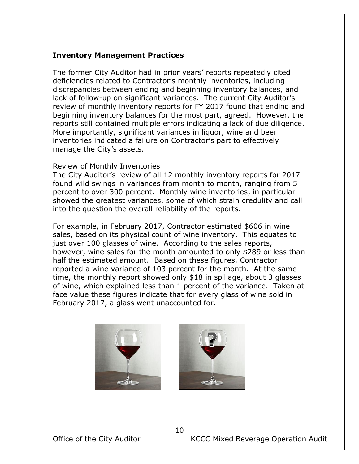### <span id="page-12-0"></span>**Inventory Management Practices**

The former City Auditor had in prior years' reports repeatedly cited deficiencies related to Contractor's monthly inventories, including discrepancies between ending and beginning inventory balances, and lack of follow-up on significant variances. The current City Auditor's review of monthly inventory reports for FY 2017 found that ending and beginning inventory balances for the most part, agreed. However, the reports still contained multiple errors indicating a lack of due diligence. More importantly, significant variances in liquor, wine and beer inventories indicated a failure on Contractor's part to effectively manage the City's assets.

#### Review of Monthly Inventories

The City Auditor's review of all 12 monthly inventory reports for 2017 found wild swings in variances from month to month, ranging from 5 percent to over 300 percent. Monthly wine inventories, in particular showed the greatest variances, some of which strain credulity and call into the question the overall reliability of the reports.

For example, in February 2017, Contractor estimated \$606 in wine sales, based on its physical count of wine inventory. This equates to just over 100 glasses of wine. According to the sales reports, however, wine sales for the month amounted to only \$289 or less than half the estimated amount. Based on these figures, Contractor reported a wine variance of 103 percent for the month. At the same time, the monthly report showed only \$18 in spillage, about 3 glasses of wine, which explained less than 1 percent of the variance. Taken at face value these figures indicate that for every glass of wine sold in February 2017, a glass went unaccounted for.



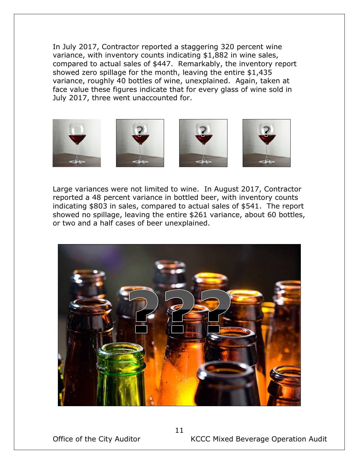In July 2017, Contractor reported a staggering 320 percent wine variance, with inventory counts indicating \$1,882 in wine sales, compared to actual sales of \$447. Remarkably, the inventory report showed zero spillage for the month, leaving the entire \$1,435 variance, roughly 40 bottles of wine, unexplained. Again, taken at face value these figures indicate that for every glass of wine sold in July 2017, three went unaccounted for.



Large variances were not limited to wine. In August 2017, Contractor reported a 48 percent variance in bottled beer, with inventory counts indicating \$803 in sales, compared to actual sales of \$541. The report showed no spillage, leaving the entire \$261 variance, about 60 bottles, or two and a half cases of beer unexplained.

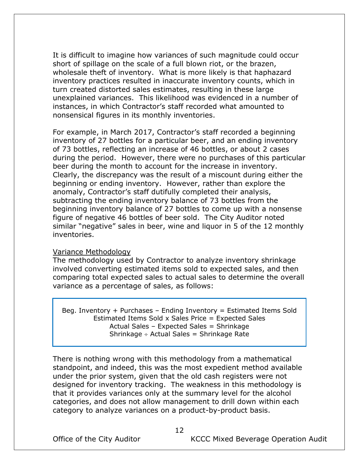It is difficult to imagine how variances of such magnitude could occur short of spillage on the scale of a full blown riot, or the brazen, wholesale theft of inventory. What is more likely is that haphazard inventory practices resulted in inaccurate inventory counts, which in turn created distorted sales estimates, resulting in these large unexplained variances. This likelihood was evidenced in a number of instances, in which Contractor's staff recorded what amounted to nonsensical figures in its monthly inventories.

For example, in March 2017, Contractor's staff recorded a beginning inventory of 27 bottles for a particular beer, and an ending inventory of 73 bottles, reflecting an increase of 46 bottles, or about 2 cases during the period. However, there were no purchases of this particular beer during the month to account for the increase in inventory. Clearly, the discrepancy was the result of a miscount during either the beginning or ending inventory. However, rather than explore the anomaly, Contractor's staff dutifully completed their analysis, subtracting the ending inventory balance of 73 bottles from the beginning inventory balance of 27 bottles to come up with a nonsense figure of negative 46 bottles of beer sold. The City Auditor noted similar "negative" sales in beer, wine and liquor in 5 of the 12 monthly inventories.

#### Variance Methodology

The methodology used by Contractor to analyze inventory shrinkage involved converting estimated items sold to expected sales, and then comparing total expected sales to actual sales to determine the overall variance as a percentage of sales, as follows:

Beg. Inventory  $+$  Purchases  $-$  Ending Inventory  $=$  Estimated Items Sold Estimated Items Sold x Sales Price = Expected Sales Actual Sales – Expected Sales = Shrinkage Shrinkage  $\div$  Actual Sales = Shrinkage Rate

There is nothing wrong with this methodology from a mathematical standpoint, and indeed, this was the most expedient method available under the prior system, given that the old cash registers were not designed for inventory tracking. The weakness in this methodology is that it provides variances only at the summary level for the alcohol categories, and does not allow management to drill down within each category to analyze variances on a product-by-product basis.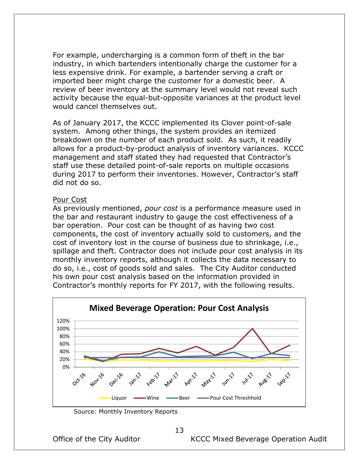For example, undercharging is a common form of theft in the bar industry, in which bartenders intentionally charge the customer for a less expensive drink. For example, a bartender serving a craft or imported beer might charge the customer for a domestic beer. A review of beer inventory at the summary level would not reveal such activity because the equal-but-opposite variances at the product level would cancel themselves out.

As of January 2017, the KCCC implemented its Clover point-of-sale system. Among other things, the system provides an itemized breakdown on the number of each product sold. As such, it readily allows for a product-by-product analysis of inventory variances. KCCC management and staff stated they had requested that Contractor's staff use these detailed point-of-sale reports on multiple occasions during 2017 to perform their inventories. However, Contractor's staff did not do so.

#### Pour Cost

As previously mentioned, *pour cost* is a performance measure used in the bar and restaurant industry to gauge the cost effectiveness of a bar operation. Pour cost can be thought of as having two cost components, the cost of inventory actually sold to customers, and the cost of inventory lost in the course of business due to shrinkage, i.e., spillage and theft. Contractor does not include pour cost analysis in its monthly inventory reports, although it collects the data necessary to do so, i.e., cost of goods sold and sales. The City Auditor conducted his own pour cost analysis based on the information provided in Contractor's monthly reports for FY 2017, with the following results.



Source: Monthly Inventory Reports

Office of the City Auditor **KCCC Mixed Beverage Operation Audit**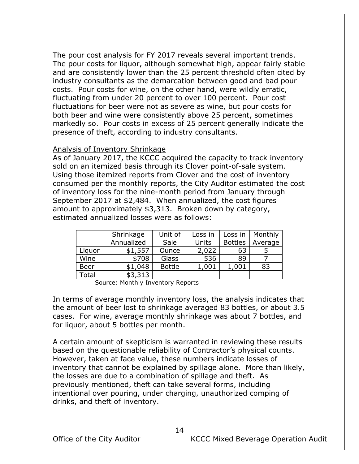The pour cost analysis for FY 2017 reveals several important trends. The pour costs for liquor, although somewhat high, appear fairly stable and are consistently lower than the 25 percent threshold often cited by industry consultants as the demarcation between good and bad pour costs. Pour costs for wine, on the other hand, were wildly erratic, fluctuating from under 20 percent to over 100 percent. Pour cost fluctuations for beer were not as severe as wine, but pour costs for both beer and wine were consistently above 25 percent, sometimes markedly so. Pour costs in excess of 25 percent generally indicate the presence of theft, according to industry consultants.

#### Analysis of Inventory Shrinkage

As of January 2017, the KCCC acquired the capacity to track inventory sold on an itemized basis through its Clover point-of-sale system. Using those itemized reports from Clover and the cost of inventory consumed per the monthly reports, the City Auditor estimated the cost of inventory loss for the nine-month period from January through September 2017 at \$2,484. When annualized, the cost figures amount to approximately \$3,313. Broken down by category, estimated annualized losses were as follows:

|             | Shrinkage  | Unit of       | Loss in | Loss in        | Monthly |
|-------------|------------|---------------|---------|----------------|---------|
|             | Annualized | Sale          | Units   | <b>Bottles</b> | Average |
| Liquor      | \$1,557    | Ounce         | 2,022   | 63             |         |
| Wine        | \$708      | Glass         | 536     | 89             |         |
| <b>Beer</b> | \$1,048    | <b>Bottle</b> | 1,001   | 1,001          | 83      |
| Total       | \$3,313    |               |         |                |         |

Source: Monthly Inventory Reports

In terms of average monthly inventory loss, the analysis indicates that the amount of beer lost to shrinkage averaged 83 bottles, or about 3.5 cases. For wine, average monthly shrinkage was about 7 bottles, and for liquor, about 5 bottles per month.

A certain amount of skepticism is warranted in reviewing these results based on the questionable reliability of Contractor's physical counts. However, taken at face value, these numbers indicate losses of inventory that cannot be explained by spillage alone. More than likely, the losses are due to a combination of spillage and theft. As previously mentioned, theft can take several forms, including intentional over pouring, under charging, unauthorized comping of drinks, and theft of inventory.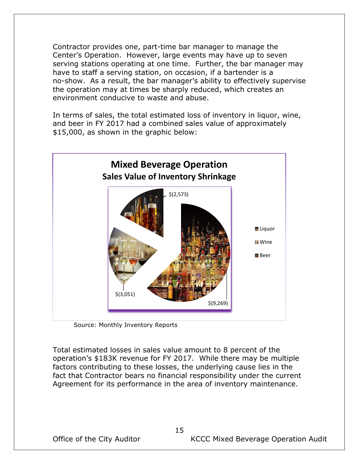Contractor provides one, part-time bar manager to manage the Center's Operation. However, large events may have up to seven serving stations operating at one time. Further, the bar manager may have to staff a serving station, on occasion, if a bartender is a no-show. As a result, the bar manager's ability to effectively supervise the operation may at times be sharply reduced, which creates an environment conducive to waste and abuse.

In terms of sales, the total estimated loss of inventory in liquor, wine, and beer in FY 2017 had a combined sales value of approximately \$15,000, as shown in the graphic below:



Source: Monthly Inventory Reports

Total estimated losses in sales value amount to 8 percent of the operation's \$183K revenue for FY 2017. While there may be multiple factors contributing to these losses, the underlying cause lies in the fact that Contractor bears no financial responsibility under the current Agreement for its performance in the area of inventory maintenance.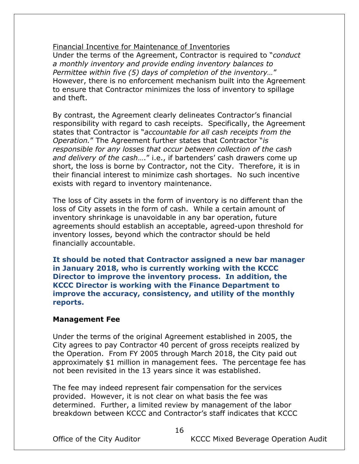Financial Incentive for Maintenance of Inventories Under the terms of the Agreement, Contractor is required to "*conduct a monthly inventory and provide ending inventory balances to Permittee within five (5) days of completion of the inventory…*" However, there is no enforcement mechanism built into the Agreement to ensure that Contractor minimizes the loss of inventory to spillage and theft.

By contrast, the Agreement clearly delineates Contractor's financial responsibility with regard to cash receipts. Specifically, the Agreement states that Contractor is "*accountable for all cash receipts from the Operation.*" The Agreement further states that Contractor "*is responsible for any losses that occur between collection of the cash and delivery of the cash*…." i.e., if bartenders' cash drawers come up short, the loss is borne by Contractor, not the City. Therefore, it is in their financial interest to minimize cash shortages. No such incentive exists with regard to inventory maintenance.

The loss of City assets in the form of inventory is no different than the loss of City assets in the form of cash. While a certain amount of inventory shrinkage is unavoidable in any bar operation, future agreements should establish an acceptable, agreed-upon threshold for inventory losses, beyond which the contractor should be held financially accountable.

**It should be noted that Contractor assigned a new bar manager in January 2018, who is currently working with the KCCC Director to improve the inventory process. In addition, the KCCC Director is working with the Finance Department to improve the accuracy, consistency, and utility of the monthly reports.** 

#### <span id="page-18-0"></span>**Management Fee**

Under the terms of the original Agreement established in 2005, the City agrees to pay Contractor 40 percent of gross receipts realized by the Operation. From FY 2005 through March 2018, the City paid out approximately \$1 million in management fees. The percentage fee has not been revisited in the 13 years since it was established.

The fee may indeed represent fair compensation for the services provided. However, it is not clear on what basis the fee was determined. Further, a limited review by management of the labor breakdown between KCCC and Contractor's staff indicates that KCCC

Office of the City Auditor **KCCC Mixed Beverage Operation Audit**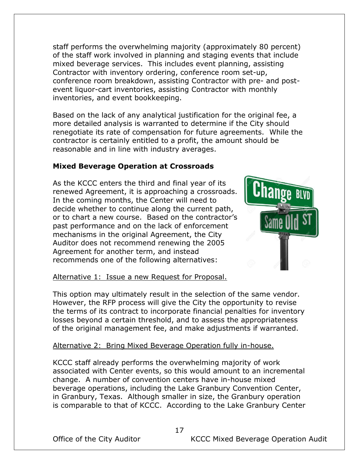staff performs the overwhelming majority (approximately 80 percent) of the staff work involved in planning and staging events that include mixed beverage services. This includes event planning, assisting Contractor with inventory ordering, conference room set-up, conference room breakdown, assisting Contractor with pre- and postevent liquor-cart inventories, assisting Contractor with monthly inventories, and event bookkeeping.

Based on the lack of any analytical justification for the original fee, a more detailed analysis is warranted to determine if the City should renegotiate its rate of compensation for future agreements. While the contractor is certainly entitled to a profit, the amount should be reasonable and in line with industry averages.

# <span id="page-19-0"></span>**Mixed Beverage Operation at Crossroads**

As the KCCC enters the third and final year of its renewed Agreement, it is approaching a crossroads. In the coming months, the Center will need to decide whether to continue along the current path, or to chart a new course. Based on the contractor's past performance and on the lack of enforcement mechanisms in the original Agreement, the City Auditor does not recommend renewing the 2005 Agreement for another term, and instead recommends one of the following alternatives:



# Alternative 1: Issue a new Request for Proposal.

This option may ultimately result in the selection of the same vendor. However, the RFP process will give the City the opportunity to revise the terms of its contract to incorporate financial penalties for inventory losses beyond a certain threshold, and to assess the appropriateness of the original management fee, and make adjustments if warranted.

# Alternative 2: Bring Mixed Beverage Operation fully in-house.

KCCC staff already performs the overwhelming majority of work associated with Center events, so this would amount to an incremental change. A number of convention centers have in-house mixed beverage operations, including the Lake Granbury Convention Center, in Granbury, Texas. Although smaller in size, the Granbury operation is comparable to that of KCCC. According to the Lake Granbury Center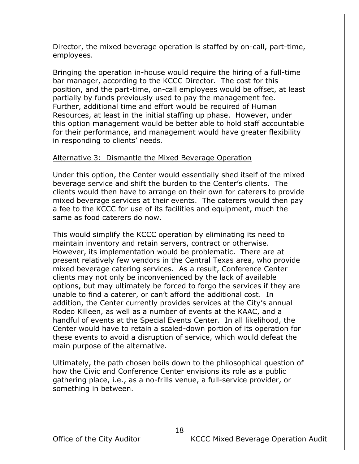Director, the mixed beverage operation is staffed by on-call, part-time, employees.

Bringing the operation in-house would require the hiring of a full-time bar manager, according to the KCCC Director. The cost for this position, and the part-time, on-call employees would be offset, at least partially by funds previously used to pay the management fee. Further, additional time and effort would be required of Human Resources, at least in the initial staffing up phase. However, under this option management would be better able to hold staff accountable for their performance, and management would have greater flexibility in responding to clients' needs.

#### Alternative 3: Dismantle the Mixed Beverage Operation

Under this option, the Center would essentially shed itself of the mixed beverage service and shift the burden to the Center's clients. The clients would then have to arrange on their own for caterers to provide mixed beverage services at their events. The caterers would then pay a fee to the KCCC for use of its facilities and equipment, much the same as food caterers do now.

This would simplify the KCCC operation by eliminating its need to maintain inventory and retain servers, contract or otherwise. However, its implementation would be problematic. There are at present relatively few vendors in the Central Texas area, who provide mixed beverage catering services. As a result, Conference Center clients may not only be inconvenienced by the lack of available options, but may ultimately be forced to forgo the services if they are unable to find a caterer, or can't afford the additional cost. In addition, the Center currently provides services at the City's annual Rodeo Killeen, as well as a number of events at the KAAC, and a handful of events at the Special Events Center. In all likelihood, the Center would have to retain a scaled-down portion of its operation for these events to avoid a disruption of service, which would defeat the main purpose of the alternative.

Ultimately, the path chosen boils down to the philosophical question of how the Civic and Conference Center envisions its role as a public gathering place, i.e., as a no-frills venue, a full-service provider, or something in between.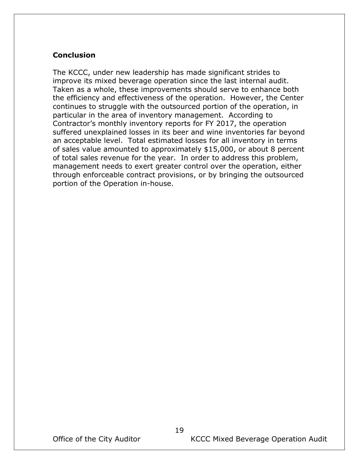# <span id="page-21-0"></span>**Conclusion**

The KCCC, under new leadership has made significant strides to improve its mixed beverage operation since the last internal audit. Taken as a whole, these improvements should serve to enhance both the efficiency and effectiveness of the operation. However, the Center continues to struggle with the outsourced portion of the operation, in particular in the area of inventory management. According to Contractor's monthly inventory reports for FY 2017, the operation suffered unexplained losses in its beer and wine inventories far beyond an acceptable level. Total estimated losses for all inventory in terms of sales value amounted to approximately \$15,000, or about 8 percent of total sales revenue for the year. In order to address this problem, management needs to exert greater control over the operation, either through enforceable contract provisions, or by bringing the outsourced portion of the Operation in-house.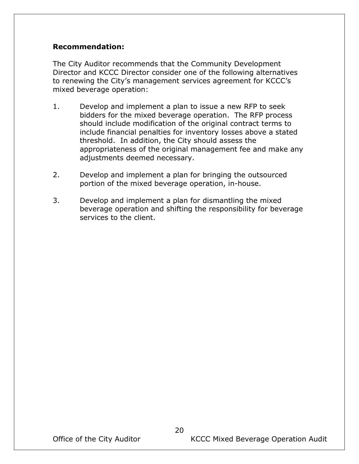## <span id="page-22-0"></span>**Recommendation:**

The City Auditor recommends that the Community Development Director and KCCC Director consider one of the following alternatives to renewing the City's management services agreement for KCCC's mixed beverage operation:

- 1. Develop and implement a plan to issue a new RFP to seek bidders for the mixed beverage operation. The RFP process should include modification of the original contract terms to include financial penalties for inventory losses above a stated threshold. In addition, the City should assess the appropriateness of the original management fee and make any adjustments deemed necessary.
- 2. Develop and implement a plan for bringing the outsourced portion of the mixed beverage operation, in-house.
- 3. Develop and implement a plan for dismantling the mixed beverage operation and shifting the responsibility for beverage services to the client.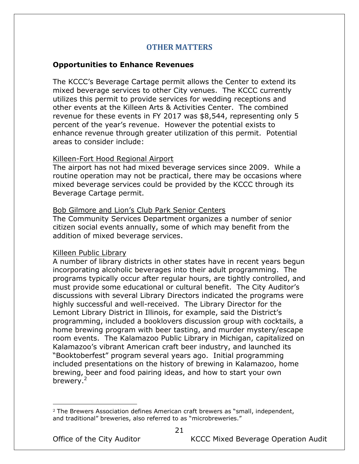### **OTHER MATTERS**

#### <span id="page-23-0"></span>**Opportunities to Enhance Revenues**

The KCCC's Beverage Cartage permit allows the Center to extend its mixed beverage services to other City venues. The KCCC currently utilizes this permit to provide services for wedding receptions and other events at the Killeen Arts & Activities Center. The combined revenue for these events in FY 2017 was \$8,544, representing only 5 percent of the year's revenue. However the potential exists to enhance revenue through greater utilization of this permit. Potential areas to consider include:

#### Killeen-Fort Hood Regional Airport

The airport has not had mixed beverage services since 2009. While a routine operation may not be practical, there may be occasions where mixed beverage services could be provided by the KCCC through its Beverage Cartage permit.

#### Bob Gilmore and Lion's Club Park Senior Centers

The Community Services Department organizes a number of senior citizen social events annually, some of which may benefit from the addition of mixed beverage services.

#### Killeen Public Library

A number of library districts in other states have in recent years begun incorporating alcoholic beverages into their adult programming. The programs typically occur after regular hours, are tightly controlled, and must provide some educational or cultural benefit. The City Auditor's discussions with several Library Directors indicated the programs were highly successful and well-received. The Library Director for the Lemont Library District in Illinois, for example, said the District's programming, included a booklovers discussion group with cocktails, a home brewing program with beer tasting, and murder mystery/escape room events. The Kalamazoo Public Library in Michigan, capitalized on Kalamazoo's vibrant American craft beer industry, and launched its "Booktoberfest" program several years ago. Initial programming included presentations on the history of brewing in Kalamazoo, home brewing, beer and food pairing ideas, and how to start your own brewery.<sup>2</sup>

 $\overline{a}$ 

Office of the City Auditor **KCCC Mixed Beverage Operation Audit** 

 $2$  The Brewers Association defines American craft brewers as "small, independent, and traditional" breweries, also referred to as "microbreweries."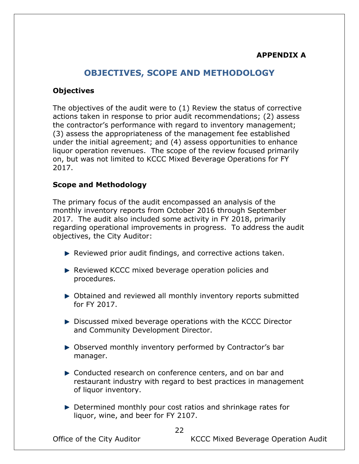# **APPENDIX A**

# **OBJECTIVES, SCOPE AND METHODOLOGY**

## <span id="page-24-1"></span><span id="page-24-0"></span>**Objectives**

The objectives of the audit were to (1) Review the status of corrective actions taken in response to prior audit recommendations; (2) assess the contractor's performance with regard to inventory management; (3) assess the appropriateness of the management fee established under the initial agreement; and (4) assess opportunities to enhance liquor operation revenues. The scope of the review focused primarily on, but was not limited to KCCC Mixed Beverage Operations for FY 2017.

## <span id="page-24-2"></span>**Scope and Methodology**

The primary focus of the audit encompassed an analysis of the monthly inventory reports from October 2016 through September 2017. The audit also included some activity in FY 2018, primarily regarding operational improvements in progress. To address the audit objectives, the City Auditor:

- $\blacktriangleright$  Reviewed prior audit findings, and corrective actions taken.
- Reviewed KCCC mixed beverage operation policies and procedures.
- ▶ Obtained and reviewed all monthly inventory reports submitted for FY 2017.
- ► Discussed mixed beverage operations with the KCCC Director and Community Development Director.
- ▶ Observed monthly inventory performed by Contractor's bar manager.
- ▶ Conducted research on conference centers, and on bar and restaurant industry with regard to best practices in management of liquor inventory.
- ▶ Determined monthly pour cost ratios and shrinkage rates for liquor, wine, and beer for FY 2107.

Office of the City Auditor **KCCC Mixed Beverage Operation Audit**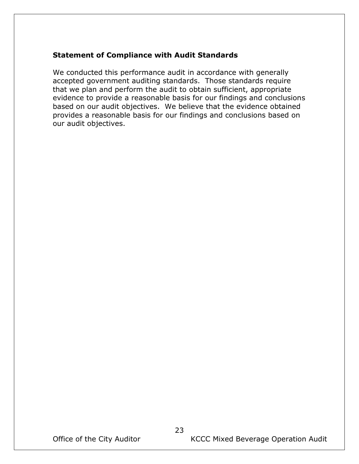# <span id="page-25-0"></span>**Statement of Compliance with Audit Standards**

We conducted this performance audit in accordance with generally accepted government auditing standards. Those standards require that we plan and perform the audit to obtain sufficient, appropriate evidence to provide a reasonable basis for our findings and conclusions based on our audit objectives. We believe that the evidence obtained provides a reasonable basis for our findings and conclusions based on our audit objectives.